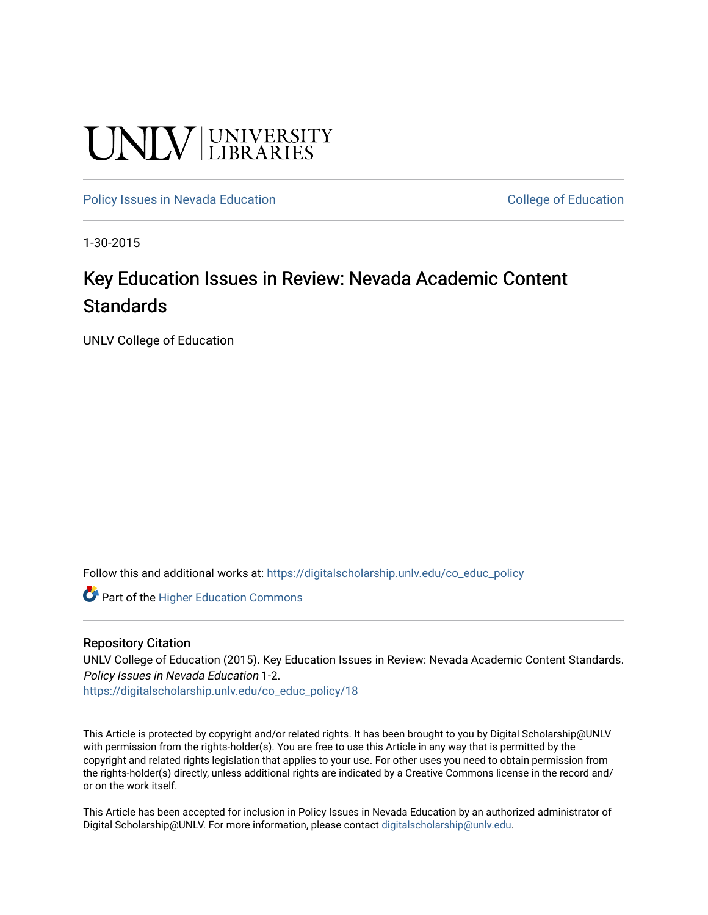# **UNIVERSITY**

[Policy Issues in Nevada Education](https://digitalscholarship.unlv.edu/co_educ_policy) **College of Education** College of Education

1-30-2015

### Key Education Issues in Review: Nevada Academic Content **Standards**

UNLV College of Education

Follow this and additional works at: [https://digitalscholarship.unlv.edu/co\\_educ\\_policy](https://digitalscholarship.unlv.edu/co_educ_policy?utm_source=digitalscholarship.unlv.edu%2Fco_educ_policy%2F18&utm_medium=PDF&utm_campaign=PDFCoverPages)

**C** Part of the Higher Education Commons

#### Repository Citation

UNLV College of Education (2015). Key Education Issues in Review: Nevada Academic Content Standards. Policy Issues in Nevada Education 1-2.

[https://digitalscholarship.unlv.edu/co\\_educ\\_policy/18](https://digitalscholarship.unlv.edu/co_educ_policy/18) 

This Article is protected by copyright and/or related rights. It has been brought to you by Digital Scholarship@UNLV with permission from the rights-holder(s). You are free to use this Article in any way that is permitted by the copyright and related rights legislation that applies to your use. For other uses you need to obtain permission from the rights-holder(s) directly, unless additional rights are indicated by a Creative Commons license in the record and/ or on the work itself.

This Article has been accepted for inclusion in Policy Issues in Nevada Education by an authorized administrator of Digital Scholarship@UNLV. For more information, please contact [digitalscholarship@unlv.edu](mailto:digitalscholarship@unlv.edu).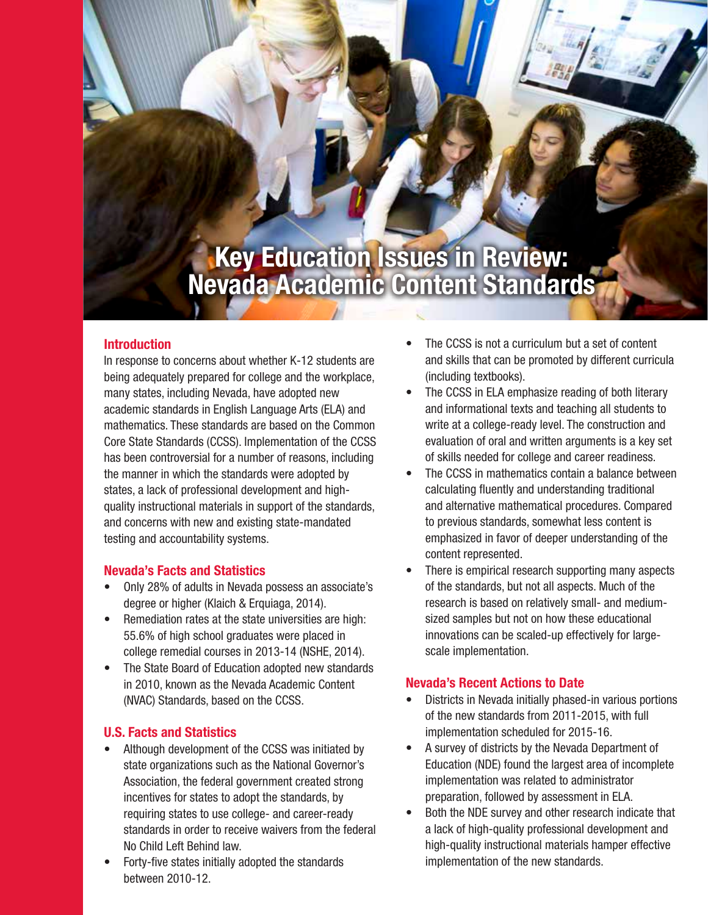# **Key Education Issues in Review: Nevada Academic Content Standards**

#### **Introduction**

In response to concerns about whether K-12 students are being adequately prepared for college and the workplace, many states, including Nevada, have adopted new academic standards in English Language Arts (ELA) and mathematics. These standards are based on the Common Core State Standards (CCSS). Implementation of the CCSS has been controversial for a number of reasons, including the manner in which the standards were adopted by states, a lack of professional development and highquality instructional materials in support of the standards, and concerns with new and existing state-mandated testing and accountability systems.

#### **Nevada's Facts and Statistics**

- Only 28% of adults in Nevada possess an associate's degree or higher (Klaich & Erquiaga, 2014).
- Remediation rates at the state universities are high: 55.6% of high school graduates were placed in college remedial courses in 2013-14 (NSHE, 2014).
- The State Board of Education adopted new standards in 2010, known as the Nevada Academic Content (NVAC) Standards, based on the CCSS.

#### **U.S. Facts and Statistics**

- Although development of the CCSS was initiated by state organizations such as the National Governor's Association, the federal government created strong incentives for states to adopt the standards, by requiring states to use college- and career-ready standards in order to receive waivers from the federal No Child Left Behind law.
- Forty-five states initially adopted the standards between 2010-12.
- The CCSS is not a curriculum but a set of content and skills that can be promoted by different curricula (including textbooks).
- The CCSS in ELA emphasize reading of both literary and informational texts and teaching all students to write at a college-ready level. The construction and evaluation of oral and written arguments is a key set of skills needed for college and career readiness.
- The CCSS in mathematics contain a balance between calculating fluently and understanding traditional and alternative mathematical procedures. Compared to previous standards, somewhat less content is emphasized in favor of deeper understanding of the content represented.
- There is empirical research supporting many aspects of the standards, but not all aspects. Much of the research is based on relatively small- and mediumsized samples but not on how these educational innovations can be scaled-up effectively for largescale implementation.

#### **Nevada's Recent Actions to Date**

- Districts in Nevada initially phased-in various portions of the new standards from 2011-2015, with full implementation scheduled for 2015-16.
- A survey of districts by the Nevada Department of Education (NDE) found the largest area of incomplete implementation was related to administrator preparation, followed by assessment in ELA.
- Both the NDE survey and other research indicate that a lack of high-quality professional development and high-quality instructional materials hamper effective implementation of the new standards.